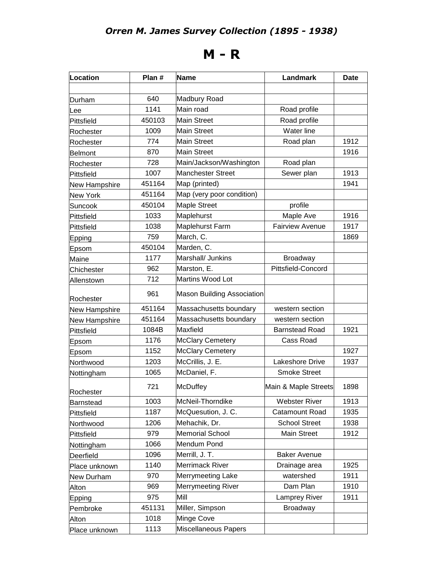## **M - R**

| Location        | Plan # | <b>Name</b>                       | Landmark               | Date |
|-----------------|--------|-----------------------------------|------------------------|------|
|                 |        |                                   |                        |      |
| Durham          | 640    | Madbury Road                      |                        |      |
| Lee             | 1141   | Main road                         | Road profile           |      |
| Pittsfield      | 450103 | <b>Main Street</b>                | Road profile           |      |
| Rochester       | 1009   | <b>Main Street</b>                | Water line             |      |
| Rochester       | 774    | <b>Main Street</b>                | Road plan              | 1912 |
| <b>Belmont</b>  | 870    | <b>Main Street</b>                |                        | 1916 |
| Rochester       | 728    | Main/Jackson/Washington           | Road plan              |      |
| Pittsfield      | 1007   | <b>Manchester Street</b>          | Sewer plan             | 1913 |
| New Hampshire   | 451164 | Map (printed)                     |                        | 1941 |
| <b>New York</b> | 451164 | Map (very poor condition)         |                        |      |
| Suncook         | 450104 | <b>Maple Street</b>               | profile                |      |
| Pittsfield      | 1033   | Maplehurst                        | Maple Ave              | 1916 |
| Pittsfield      | 1038   | Maplehurst Farm                   | <b>Fairview Avenue</b> | 1917 |
| Epping          | 759    | March, C.                         |                        | 1869 |
| Epsom           | 450104 | Marden, C.                        |                        |      |
| Maine           | 1177   | Marshall/ Junkins                 | <b>Broadway</b>        |      |
| Chichester      | 962    | Marston, E.                       | Pittsfield-Concord     |      |
| Allenstown      | 712    | Martins Wood Lot                  |                        |      |
| Rochester       | 961    | <b>Mason Building Association</b> |                        |      |
| New Hampshire   | 451164 | Massachusetts boundary            | western section        |      |
| New Hampshire   | 451164 | Massachusetts boundary            | western section        |      |
| Pittsfield      | 1084B  | Maxfield                          | <b>Barnstead Road</b>  | 1921 |
| Epsom           | 1176   | <b>McClary Cemetery</b>           | Cass Road              |      |
| Epsom           | 1152   | <b>McClary Cemetery</b>           |                        | 1927 |
| Northwood       | 1203   | McCrillis, J. E.                  | Lakeshore Drive        | 1937 |
| Nottingham      | 1065   | McDaniel, F.                      | <b>Smoke Street</b>    |      |
| Rochester       | 721    | <b>McDuffey</b>                   | Main & Maple Streets   | 1898 |
| Barnstead       | 1003   | McNeil-Thorndike                  | <b>Webster River</b>   | 1913 |
| Pittsfield      | 1187   | McQuesution, J. C.                | Catamount Road         | 1935 |
| Northwood       | 1206   | Mehachik, Dr.                     | <b>School Street</b>   | 1938 |
| Pittsfield      | 979    | <b>Memorial School</b>            | Main Street            | 1912 |
| Nottingham      | 1066   | Mendum Pond                       |                        |      |
| Deerfield       | 1096   | Merrill, J. T.                    | <b>Baker Avenue</b>    |      |
| Place unknown   | 1140   | Merrimack River                   | Drainage area          | 1925 |
| New Durham      | 970    | Merrymeeting Lake                 | watershed              | 1911 |
| Alton           | 969    | Merrymeeting River                | Dam Plan               | 1910 |
| Epping          | 975    | Mill                              | Lamprey River          | 1911 |
| Pembroke        | 451131 | Miller, Simpson                   | <b>Broadway</b>        |      |
| Alton           | 1018   | Minge Cove                        |                        |      |
| Place unknown   | 1113   | Miscellaneous Papers              |                        |      |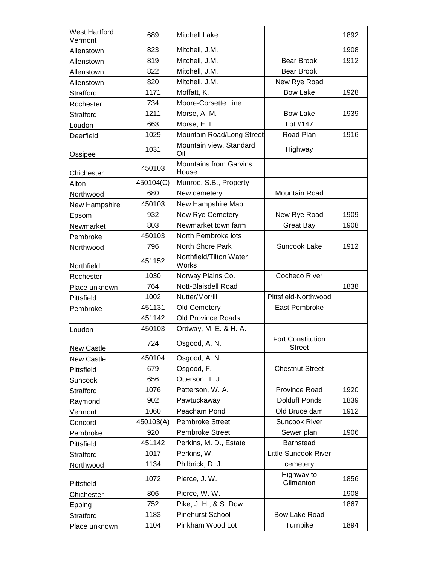| West Hartford,<br>Vermont | 689       | <b>Mitchell Lake</b>                   |                                           | 1892 |
|---------------------------|-----------|----------------------------------------|-------------------------------------------|------|
| Allenstown                | 823       | Mitchell, J.M.                         |                                           | 1908 |
| Allenstown                | 819       | Mitchell, J.M.                         | <b>Bear Brook</b>                         | 1912 |
| Allenstown                | 822       | Mitchell, J.M.                         | <b>Bear Brook</b>                         |      |
| Allenstown                | 820       | Mitchell, J.M.                         | New Rye Road                              |      |
| Strafford                 | 1171      | Moffatt, K.                            | <b>Bow Lake</b>                           | 1928 |
| Rochester                 | 734       | Moore-Corsette Line                    |                                           |      |
| Strafford                 | 1211      | Morse, A. M.                           | <b>Bow Lake</b>                           | 1939 |
| Loudon                    | 663       | Morse, E. L.                           | Lot #147                                  |      |
| Deerfield                 | 1029      | Mountain Road/Long Street              | Road Plan                                 | 1916 |
| Ossipee                   | 1031      | Mountain view, Standard<br>Oil         | Highway                                   |      |
| Chichester                | 450103    | <b>Mountains from Garvins</b><br>House |                                           |      |
| Alton                     | 450104(C) | Munroe, S.B., Property                 |                                           |      |
| Northwood                 | 680       | New cemetery                           | Mountain Road                             |      |
| New Hampshire             | 450103    | New Hampshire Map                      |                                           |      |
| Epsom                     | 932       | New Rye Cemetery                       | New Rye Road                              | 1909 |
| Newmarket                 | 803       | Newmarket town farm                    | <b>Great Bay</b>                          | 1908 |
| Pembroke                  | 450103    | North Pembroke lots                    |                                           |      |
| Northwood                 | 796       | North Shore Park                       | Suncook Lake                              | 1912 |
| Northfield                | 451152    | Northfield/Tilton Water<br>Works       |                                           |      |
| Rochester                 | 1030      | Norway Plains Co.                      | <b>Cocheco River</b>                      |      |
| Place unknown             | 764       | Nott-Blaisdell Road                    |                                           | 1838 |
| Pittsfield                | 1002      | Nutter/Morrill                         | Pittsfield-Northwood                      |      |
| Pembroke                  | 451131    | <b>Old Cemetery</b>                    | East Pembroke                             |      |
|                           | 451142    | <b>Old Province Roads</b>              |                                           |      |
| Loudon                    | 450103    | Ordway, M. E. & H. A.                  |                                           |      |
| <b>New Castle</b>         | 724       | Osgood, A. N.                          | <b>Fort Constitution</b><br><b>Street</b> |      |
| <b>New Castle</b>         | 450104    | Osgood, A. N.                          |                                           |      |
| Pittsfield                | 679       | Osgood, F.                             | <b>Chestnut Street</b>                    |      |
| Suncook                   | 656       | Otterson, T. J.                        |                                           |      |
| Strafford                 | 1076      | Patterson, W. A.                       | Province Road                             | 1920 |
| Raymond                   | 902       | Pawtuckaway                            | <b>Dolduff Ponds</b>                      | 1839 |
| Vermont                   | 1060      | Peacham Pond                           | Old Bruce dam                             | 1912 |
| Concord                   | 450103(A) | <b>Pembroke Street</b>                 | <b>Suncook River</b>                      |      |
| Pembroke                  | 920       | <b>Pembroke Street</b>                 | Sewer plan                                | 1906 |
| Pittsfield                | 451142    | Perkins, M. D., Estate                 | Barnstead                                 |      |
| Strafford                 | 1017      | Perkins, W.                            | <b>Little Suncook River</b>               |      |
| Northwood                 | 1134      | Philbrick, D. J.                       | cemetery                                  |      |
| Pittsfield                | 1072      | Pierce, J. W.                          | Highway to<br>Gilmanton                   | 1856 |
| Chichester                | 806       | Pierce, W. W.                          |                                           | 1908 |
| Epping                    | 752       | Pike, J. H., & S. Dow                  |                                           | 1867 |
| Stratford                 | 1183      | <b>Pinehurst School</b>                | <b>Bow Lake Road</b>                      |      |
| Place unknown             | 1104      | Pinkham Wood Lot                       | Turnpike                                  | 1894 |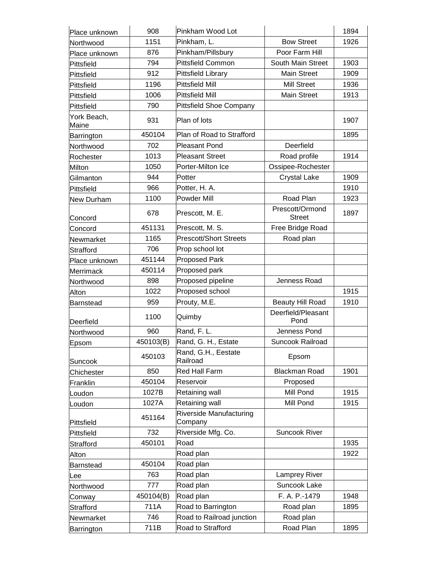| Place unknown        | 908       | Pinkham Wood Lot                   |                                  | 1894 |
|----------------------|-----------|------------------------------------|----------------------------------|------|
| Northwood            | 1151      | Pinkham, L.                        | <b>Bow Street</b>                | 1926 |
| Place unknown        | 876       | Pinkham/Pillsbury                  | Poor Farm Hill                   |      |
| Pittsfield           | 794       | <b>Pittsfield Common</b>           | South Main Street                | 1903 |
| Pittsfield           | 912       | <b>Pittsfield Library</b>          | <b>Main Street</b>               | 1909 |
| Pittsfield           | 1196      | <b>Pittsfield Mill</b>             | <b>Mill Street</b>               | 1936 |
| Pittsfield           | 1006      | <b>Pittsfield Mill</b>             | <b>Main Street</b>               | 1913 |
| Pittsfield           | 790       | <b>Pittsfield Shoe Company</b>     |                                  |      |
| York Beach,<br>Maine | 931       | Plan of lots                       |                                  | 1907 |
| Barrington           | 450104    | Plan of Road to Strafford          |                                  | 1895 |
| Northwood            | 702       | <b>Pleasant Pond</b>               | Deerfield                        |      |
| Rochester            | 1013      | <b>Pleasant Street</b>             | Road profile                     | 1914 |
| Milton               | 1050      | Porter-Milton Ice                  | Ossipee-Rochester                |      |
| Gilmanton            | 944       | Potter                             | <b>Crystal Lake</b>              | 1909 |
| Pittsfield           | 966       | Potter, H. A.                      |                                  | 1910 |
| New Durham           | 1100      | Powder Mill                        | Road Plan                        | 1923 |
| Concord              | 678       | Prescott, M. E.                    | Prescott/Ormond<br><b>Street</b> | 1897 |
| Concord              | 451131    | Prescott, M. S.                    | Free Bridge Road                 |      |
| Newmarket            | 1165      | <b>Prescott/Short Streets</b>      | Road plan                        |      |
| Strafford            | 706       | Prop school lot                    |                                  |      |
| Place unknown        | 451144    | <b>Proposed Park</b>               |                                  |      |
| Merrimack            | 450114    | Proposed park                      |                                  |      |
| Northwood            | 898       | Proposed pipeline                  | Jenness Road                     |      |
| Alton                | 1022      | Proposed school                    |                                  | 1915 |
| Barnstead            | 959       | Prouty, M.E.                       | <b>Beauty Hill Road</b>          | 1910 |
| Deerfield            | 1100      | Quimby                             | Deerfield/Pleasant<br>Pond       |      |
| Northwood            | 960       | Rand, F. L.                        | Jenness Pond                     |      |
| Epsom                | 450103(B) | Rand, G. H., Estate                | <b>Suncook Railroad</b>          |      |
| Suncook              | 450103    | Rand, G.H., Eestate<br>Railroad    | Epsom                            |      |
| Chichester           | 850       | <b>Red Hall Farm</b>               | <b>Blackman Road</b>             | 1901 |
| Franklin             | 450104    | Reservoir                          | Proposed                         |      |
| Loudon               | 1027B     | Retaining wall                     | Mill Pond                        | 1915 |
| Loudon               | 1027A     | Retaining wall                     | Mill Pond                        | 1915 |
| Pittsfield           | 451164    | Riverside Manufacturing<br>Company |                                  |      |
| Pittsfield           | 732       | Riverside Mfg. Co.                 | <b>Suncook River</b>             |      |
| Strafford            | 450101    | Road                               |                                  | 1935 |
| Alton                |           | Road plan                          |                                  | 1922 |
| Barnstead            | 450104    | Road plan                          |                                  |      |
| Lee                  | 763       | Road plan                          | Lamprey River                    |      |
| Northwood            | 777       | Road plan                          | Suncook Lake                     |      |
| Conway               | 450104(B) | Road plan                          | F. A. P.-1479                    | 1948 |
| Strafford            | 711A      | Road to Barrington                 | Road plan                        | 1895 |
| Newmarket            | 746       | Road to Railroad junction          | Road plan                        |      |
| Barrington           | 711B      | Road to Strafford                  | Road Plan                        | 1895 |